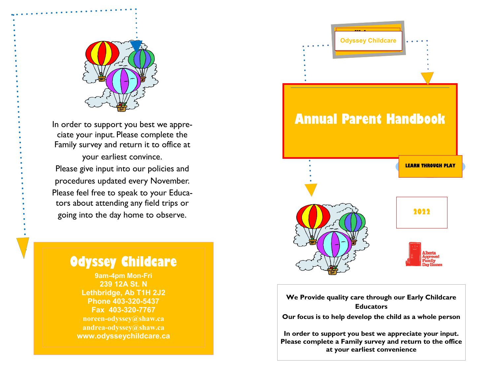

In order to support you best we appreciate your input. Please complete the Family survey and return it to office at your earliest convince. Please give input into our policies and procedures updated every November. Please feel free to speak to your Educators about attending any field trips or going into the day home to observe.



**9am-4pm Mon-Fri 239 12A St. N Lethbridge, Ab T1H 2J2 Phone 403-320-5437 Fax 403-320-7767 noreen-odyssey@shaw.ca andrea-odyssey@shaw.ca www.odysseychildcare.ca** 



**We Provide quality care through our Early ChildcareEducators Our focus is to help develop the child as a whole person** 

**In order to support you best we appreciate your input. Please complete a Family survey and return to the office at your earliest convenience**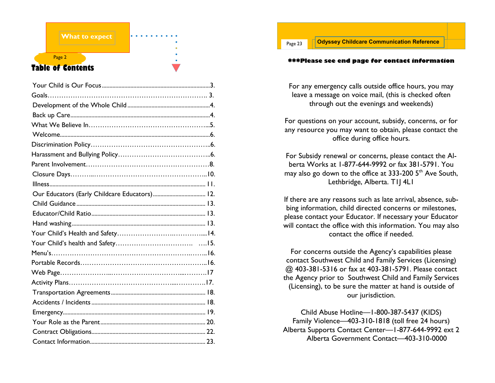## Page 2 **Table of Contents**

**What to expect** 

| Our Educators (Early Childcare Educators) 12. |  |
|-----------------------------------------------|--|
|                                               |  |
|                                               |  |
|                                               |  |
|                                               |  |
|                                               |  |
|                                               |  |
|                                               |  |
|                                               |  |
|                                               |  |
|                                               |  |
|                                               |  |
|                                               |  |
|                                               |  |
|                                               |  |
|                                               |  |

#### **\*\*\*Please see end page for contact information**

For any emergency calls outside office hours, you may leave a message on voice mail, (this is checked often through out the evenings and weekends)

For questions on your account, subsidy, concerns, or for any resource you may want to obtain, please contact the office during office hours.

For Subsidy renewal or concerns, please contact the Alberta Works at 1-877-644-9992 or fax 381-5791. You may also go down to the office at 333-200  $5<sup>th</sup>$  Ave South, Lethbridge, Alberta. T1J 4L1

If there are any reasons such as late arrival, absence, subbing information, child directed concerns or milestones, please contact your Educator. If necessary your Educator will contact the office with this information. You may also contact the office if needed.

For concerns outside the Agency's capabilities please contact Southwest Child and Family Services (Licensing) @ 403-381-5316 or fax at 403-381-5791. Please contact the Agency prior to Southwest Child and Family Services (Licensing), to be sure the matter at hand is outside of our jurisdiction.

Child Abuse Hotline—1-800-387-5437 (KIDS) Family Violence—403-310-1818 (toll free 24 hours) Alberta Supports Contact Center—1-877-644-9992 ext 2 Alberta Government Contact—403-310-0000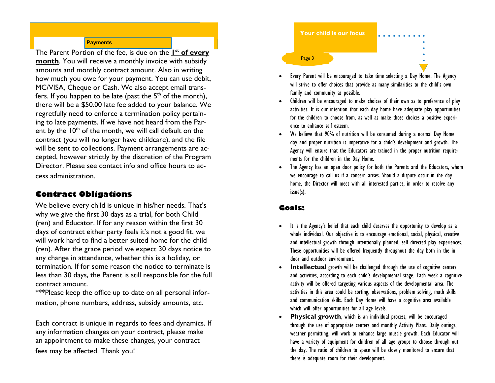#### **Payments**

The Parent Portion of the fee, is due on the **1st of every month**. You will receive a monthly invoice with subsidy amounts and monthly contract amount. Also in writing how much you owe for your payment. You can use debit, MC/VISA, Cheque or Cash. We also accept email transfers. If you happen to be late (past the  $5<sup>th</sup>$  of the month), there will be a \$50.00 late fee added to your balance. We regretfully need to enforce a termination policy pertaining to late payments. If we have not heard from the Parent by the  $10<sup>th</sup>$  of the month, we will call default on the contract (you will no longer have childcare), and the file will be sent to collections. Payment arrangements are accepted, however strictly by the discretion of the Program Director. Please see contact info and office hours to access administration.

## **Contract Obligations**

 We believe every child is unique in his/her needs. That's why we give the first 30 days as a trial, for both Child (ren) and Educator. If for any reason within the first 30 days of contract either party feels it's not a good fit, we will work hard to find a better suited home for the child (ren). After the grace period we expect 30 days notice to any change in attendance, whether this is a holiday, or termination. If for some reason the notice to terminate is less than 30 days, the Parent is still responsible for the full contract amount.

 \*\*\*Please keep the office up to date on all personal information, phone numbers, address, subsidy amounts, etc.

Each contract is unique in regards to fees and dynamics. If any information changes on your contract, please make an appointment to make these changes, your contractfees may be affected. Thank you!



- Every Parent will be encouraged to take time selecting a Day Home. The Agency will strive to offer choices that provide as many similarities to the child's own family and community as possible.
- Children will be encouraged to make choices of their own as to preference of play activities. It is our intention that each day home have adequate play opportunities for the children to choose from, as well as make those choices a positive experience to enhance self esteem.
- We believe that 90% of nutrition will be consumed during a normal Day Home day and proper nutrition is imperative for a child's development and growth. The Agency will ensure that the Educators are trained in the proper nutrition requirements for the children in the Day Home.
- The Agency has an open door policy for both the Parents and the Educators, whom we encourage to call us if a concern arises. Should a dispute occur in the day home, the Director will meet with all interested parties, in order to resolve any issue(s).

## **Goals:**

- It is the Agency's belief that each child deserves the opportunity to develop as a whole individual. Our objective is to encourage emotional, social, physical, creative and intellectual growth through intentionally planned, self directed play experiences. These opportunities will be offered frequently throughout the day both in the in door and outdoor environment.
- **Intellectual** growth will be challenged through the use of cognitive centers and activities, according to each child's developmental stage. Each week a cognitive activity will be offered targeting various aspects of the developmental area. The activities in this area could be sorting, observations, problem solving, math skills and communication skills. Each Day Home will have a cognitive area available which will offer opportunities for all age levels.
- **Physical growth**, which is an individual process, will be encouraged through the use of appropriate centers and monthly Activity Plans. Daily outings, weather permitting, will work to enhance large muscle growth. Each Educator will have a variety of equipment for children of all age groups to choose through out the day. The ratio of children to space will be closely monitored to ensure that there is adequate room for their development.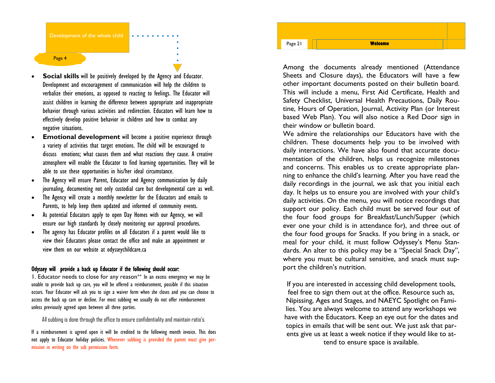

- **Social skills** will be positively developed by the Agency and Educator. Development and encouragement of communication will help the children to verbalize their emotions, as opposed to reacting to feelings. The Educator will assist children in learning the difference between appropriate and inappropriate behavior through various activities and redirection. Educators will learn how to effectively develop positive behavior in children and how to combat any negative situations.
- **Emotional development** will become a positive experience through a variety of activities that target emotions. The child will be encouraged to discuss emotions; what causes them and what reactions they cause. A creative atmosphere will enable the Educator to find learning opportunities. They will be able to use these opportunities in his/her ideal circumstance.
- The Agency will ensure Parent, Educator and Agency communication by daily journaling, documenting not only custodial care but developmental care as well.
- The Agency will create a monthly newsletter for the Educators and emails to Parents, to help keep them updated and informed of community events.
- As potential Educators apply to open Day Homes with our Agency, we will ensure our high standards by closely monitoring our approval procedures.
- The agency has Educator profiles on all Educators if a parent would like to view their Educators please contact the office and make an appointment or view them on our website at odysseychildcare.ca

#### Odyssey will provide a back up Educator if the following should occur:

1. Educator needs to close for any reason\*\* In an excess emergency we may be unable to provide back up care, you will be offered a reimbursement, possible if this situation occurs. Your Educator will ask you to sign a waiver form when she closes and you can choose to access the back up care or decline. For most subbing we usually do not offer reimbursement unless previously agreed upon between all three parties.

All subbing is done through the office to ensure confidentiality and maintain ratio's.

If a reimbursement is agreed upon it will be credited to the following month invoice. This does not apply to Educator holiday policies. Whenever subbing is provided the parent must give permission in writing on the sub permission form.



Among the documents already mentioned (Attendance Sheets and Closure days), the Educators will have a few other important documents posted on their bulletin board. This will include a menu, First Aid Certificate, Health and Safety Checklist, Universal Health Precautions, Daily Routine, Hours of Operation, Journal, Activity Plan (or Interest based Web Plan). You will also notice a Red Door sign in their window or bulletin board.

 We admire the relationships our Educators have with the children. These documents help you to be involved with daily interactions. We have also found that accurate documentation of the children, helps us recognize milestones and concerns. This enables us to create appropriate planning to enhance the child's learning. After you have read the daily recordings in the journal, we ask that you initial each day. It helps us to ensure you are involved with your child's daily activities. On the menu, you will notice recordings that support our policy. Each child must be served four out of the four food groups for Breakfast/Lunch/Supper (which ever one your child is in attendance for), and three out of the four food groups for Snacks. If you bring in a snack, or meal for your child, it must follow Odyssey's Menu Standards. An alter to this policy may be a "Special Snack Day", where you must be cultural sensitive, and snack must support the children's nutrition.

If you are interested in accessing child development tools, feel free to sign them out at the office. Resource such as, Nipissing, Ages and Stages, and NAEYC Spotlight on Families. You are always welcome to attend any workshops we have with the Educators. Keep an eye out for the dates and topics in emails that will be sent out. We just ask that parents give us at least a week notice if they would like to attend to ensure space is available.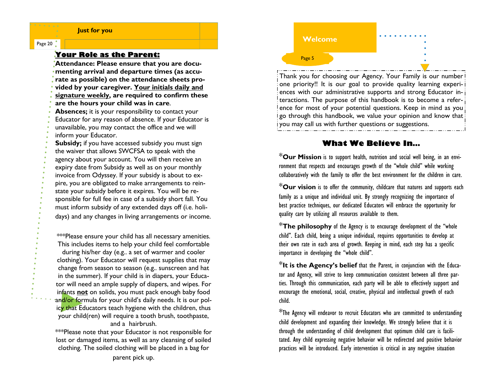#### **Just for you**

#### Page 20

#### **Your Role as the Parent:**

 **Attendance: Please ensure that you are documenting arrival and departure times (as accurate as possible) on the attendance sheets provided by your caregiver. Your initials daily and signature weekly, are required to confirm these are the hours your child was in care**. **Absences;** it is your responsibility to contact your Educator for any reason of absence. If your Educator is unavailable, you may contact the office and we will inform your Educator. **Subsidy;** if you have accessed subsidy you must sign the waiver that allows SWCFSA to speak with the

 agency about your account. You will then receive an expiry date from Subsidy as well as on your monthly invoice from Odyssey. If your subsidy is about to expire, you are obligated to make arrangements to reinstate your subsidy before it expires. You will be responsible for full fee in case of a subsidy short fall. You must inform subsidy of any extended days off (i.e. holidays) and any changes in living arrangements or income.

\*\*\*Please ensure your child has all necessary amenities. This includes items to help your child feel comfortable during his/her day (e.g.. a set of warmer and cooler clothing). Your Educator will request supplies that may change from season to season (e.g.. sunscreen and hat in the summer). If your child is in diapers, your Educator will need an ample supply of diapers, and wipes. For infants **not** on solids, you must pack enough baby food an<mark>d/or fo</mark>rmula for your child's daily needs. It is our policy that Educators teach hygiene with the children, thus your child(ren) will require a tooth brush, toothpaste, and a hairbrush.

 \*\*\*Please note that your Educator is not responsible for lost or damaged items, as well as any cleansing of soiled clothing. The soiled clothing will be placed in a bag for

Thank you for choosing our Agency. Your Family is our number one priority!! It is our goal to provide quality learning experiences with our administrative supports and strong Educator interactions. The purpose of this handbook is to become a reference for most of your potential questions. Keep in mind as you go through this handbook, we value your opinion and know that you may call us with further questions or suggestions.

## **What We Believe In…**

 \***Our Mission** is to support health, nutrition and social well being, in an environment that respects and encourages growth of the "whole child" while working collaboratively with the family to offer the best environment for the children in care.

\***Our vision** is to offer the community, childcare that natures and supports each family as a unique and individual unit. By strongly recognizing the importance of best practice techniques, our dedicated Educators will embrace the opportunity for quality care by utilizing all resources available to them.

\***The philosophy** of the Agency is to encourage development of the "whole child". Each child, being a unique individual, requires opportunities to develop at their own rate in each area of growth. Keeping in mind, each step has a specific importance in developing the "whole child".

\***It is the Agency's belief** that the Parent, in conjunction with the Educator and Agency, will strive to keep communication consistent between all three parties. Through this communication, each party will be able to effectively support and encourage the emotional, social, creative, physical and intellectual growth of each child.

\*The Agency will endeavor to recruit Educators who are committed to understanding child development and expanding their knowledge. We strongly believe that it is through the understanding of child development that optimum child care is facilitated. Any child expressing negative behavior will be redirected and positive behavior practices will be introduced. Early intervention is critical in any negative situation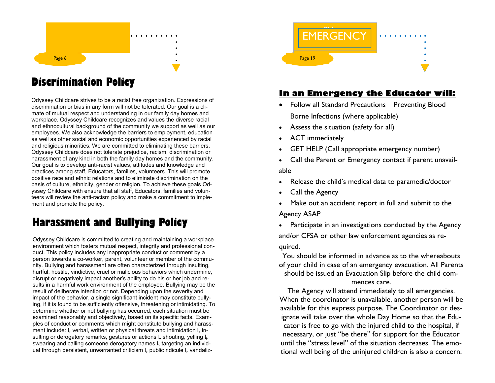

# **Discrimination Policy**

Odyssey Childcare strives to be a racist free organization. Expressions of discrimination or bias in any form will not be tolerated. Our goal is a climate of mutual respect and understanding in our family day homes and workplace. Odyssey Childcare recognizes and values the diverse racial and ethnocultural background of the community we support as well as our employees. We also acknowledge the barriers to employment, education as well as other social and economic opportunities experienced by racial and religious minorities. We are committed to eliminating these barriers. Odyssey Childcare does not tolerate prejudice, racism, discrimination or harassment of any kind in both the family day homes and the community. Our goal is to develop anti-racist values, attitudes and knowledge and practices among staff, Educators, families, volunteers. This will promote positive race and ethnic relations and to eliminate discrimination on the basis of culture, ethnicity, gender or religion. To achieve these goals Odyssey Childcare with ensure that all staff, Educators, families and volunteers will review the anti-racism policy and make a commitment to implement and promote the policy.

# **Harassment and Bullying Policy**

Odyssey Childcare is committed to creating and maintaining a workplace environment which fosters mutual respect, integrity and professional conduct. This policy includes any inappropriate conduct or comment by a person towards a co-worker, parent, volunteer or member of the community. Bullying and harassment are often characterized through insulting, hurtful, hostile, vindictive, cruel or malicious behaviors which undermine, disrupt or negatively impact another's ability to do his or her job and results in a harmful work environment of the employee. Bullying may be the result of deliberate intention or not. Depending upon the severity and impact of the behavior, a single significant incident may constitute bullying, if it is found to be sufficiently offensive, threatening or intimidating. To determine whether or not bullying has occurred, each situation must be examined reasonably and objectively, based on its specific facts. Examples of conduct or comments which might constitute bullying and harassment include:  $\lfloor \sqrt{k} \rfloor$  verbal, written or physical threats and intimidation  $\lfloor \sqrt{k} \rfloor$  insulting or derogatory remarks, gestures or actions  $\downarrow$  shouting, yelling  $\downarrow$  swearing and calling someone derogatory names ↳ targeting an individual through persistent, unwarranted criticism L public ridicule L vandaliz-



## **In an Emergency the Educator will:**

- Follow all Standard Precautions Preventing Blood Borne Infections (where applicable)
- Assess the situation (safety for all)
- ACT immediately
- GET HELP (Call appropriate emergency number)
- Call the Parent or Emergency contact if parent unavailable
- Release the child's medical data to paramedic/doctor
- Call the Agency
- Make out an accident report in full and submit to the Agency ASAP
- Participate in an investigations conducted by the Agency and/or CFSA or other law enforcement agencies as required.

You should be informed in advance as to the whereabouts of your child in case of an emergency evacuation. All Parents should be issued an Evacuation Slip before the child com-

#### mences care.

 The Agency will attend immediately to all emergencies. When the coordinator is unavailable, another person will be available for this express purpose. The Coordinator or designate will take over the whole Day Home so that the Educator is free to go with the injured child to the hospital, if necessary, or just "be there" for support for the Educator until the "stress level" of the situation decreases. The emotional well being of the uninjured children is also a concern.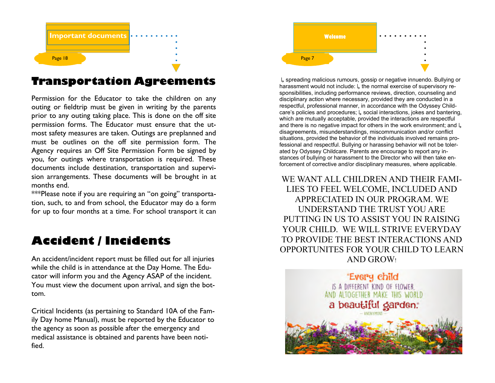

## **Transportation Agreements**

Permission for the Educator to take the children on any outing or fieldtrip must be given in writing by the parents prior to any outing taking place. This is done on the off site permission forms. The Educator must ensure that the utmost safety measures are taken. Outings are preplanned and must be outlines on the off site permission form. The Agency requires an Off Site Permission Form be signed by you, for outings where transportation is required. These documents include destination, transportation and supervision arrangements. These documents will be brought in at months end.

 \*\*\*Please note if you are requiring an "on going" transportation, such, to and from school, the Educator may do a form for up to four months at a time. For school transport it can

# **Accident / Incidents**

An accident/incident report must be filled out for all injuries while the child is in attendance at the Day Home. The Educator will inform you and the Agency ASAP of the incident. You must view the document upon arrival, and sign the bottom.

Critical Incidents (as pertaining to Standard 10A of the Family Day home Manual), must be reported by the Educator to the agency as soon as possible after the emergency and medical assistance is obtained and parents have been notified.



↳ spreading malicious rumours, gossip or negative innuendo. Bullying or harassment would not include: L the normal exercise of supervisory responsibilities, including performance reviews, direction, counseling and disciplinary action where necessary, provided they are conducted in a respectful, professional manner, in accordance with the Odyssey Childcare's policies and procedures; ↳ social interactions, jokes and bantering, which are mutually acceptable, provided the interactions are respectful and there is no negative impact for others in the work environment; and L disagreements, misunderstandings, miscommunication and/or conflict situations, provided the behavior of the individuals involved remains professional and respectful. Bullying or harassing behavior will not be tolerated by Odyssey Childcare. Parents are encourage to report any instances of bullying or harassment to the Director who will then take enforcement of corrective and/or disciplinary measures, where applicable.

WE WANT ALL CHILDREN AND THEIR FAMI-LIES TO FEEL WELCOME, INCLUDED AND APPRECIATED IN OUR PROGRAM. WE UNDERSTAND THE TRUST YOU ARE PUTTING IN US TO ASSIST YOU IN RAISING YOUR CHILD. WE WILL STRIVE EVERYDAY TO PROVIDE THE BEST INTERACTIONS AND OPPORTUNITES FOR YOUR CHILD TO LEARN AND GROW!

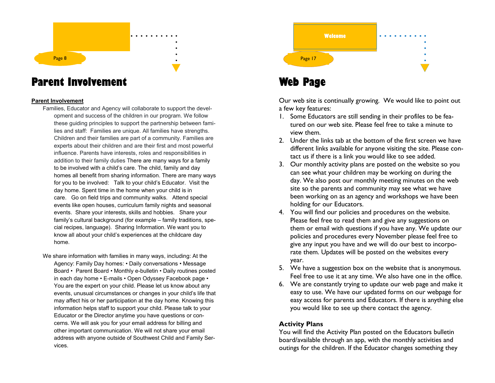# Page 8

## **Parent Involvement**

#### **Parent Involvement**

- Families, Educator and Agency will collaborate to support the development and success of the children in our program. We follow these guiding principles to support the partnership between families and staff: Families are unique. All families have strengths. Children and their families are part of a community. Families are experts about their children and are their first and most powerful influence. Parents have interests, roles and responsibilities in addition to their family duties There are many ways for a family to be involved with a child's care. The child, family and day homes all benefit from sharing information. There are many ways for you to be involved: Talk to your child's Educator. Visit the day home. Spent time in the home when your child is in care. Go on field trips and community walks. Attend special events like open houses, curriculum family nights and seasonal events. Share your interests, skills and hobbies. Share your family's cultural background (for example – family traditions, special recipes, language). Sharing Information. We want you to know all about your child's experiences at the childcare day home.
- We share information with families in many ways, including: At the Agency: Family Day homes: • Daily conversations • Message Board • Parent Board • Monthly e-bulletin • Daily routines posted in each day home • E-mails • Open Odyssey Facebook page • You are the expert on your child. Please let us know about any events, unusual circumstances or changes in your child's life that may affect his or her participation at the day home. Knowing this information helps staff to support your child. Please talk to your Educator or the Director anytime you have questions or concerns. We will ask you for your email address for billing and other important communication. We will not share your email address with anyone outside of Southwest Child and Family Services.



## **Web Page**

Our web site is continually growing. We would like to point out a few key features:

- 1. Some Educators are still sending in their profiles to be featured on our web site. Please feel free to take a minute to view them.
- 2. Under the links tab at the bottom of the first screen we have different links available for anyone visiting the site. Please contact us if there is a link you would like to see added.
- 3. Our monthly activity plans are posted on the website so you can see what your children may be working on during the day. We also post our monthly meeting minutes on the web site so the parents and community may see what we have been working on as an agency and workshops we have been holding for our Educators.
- 4. You will find our policies and procedures on the website. Please feel free to read them and give any suggestions on them or email with questions if you have any. We update our policies and procedures every November please feel free to give any input you have and we will do our best to incorporate them. Updates will be posted on the websites every year.
- 5. We have a suggestion box on the website that is anonymous. Feel free to use it at any time. We also have one in the office.
- 6. We are constantly trying to update our web page and make it easy to use. We have our updated forms on our webpage for easy access for parents and Educators. If there is anything else you would like to see up there contact the agency.

## **Activity Plans**

You will find the Activity Plan posted on the Educators bulletin board/available through an app, with the monthly activities and outings for the children. If the Educator changes something they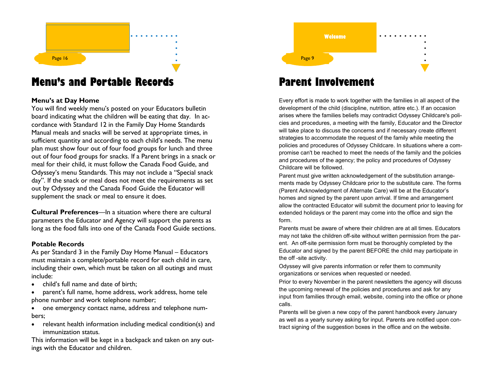

## **Menu's and Portable Records**

## **Menu's at Day Home**

 You will find weekly menu's posted on your Educators bulletin board indicating what the children will be eating that day. In accordance with Standard 12 in the Family Day Home Standards Manual meals and snacks will be served at appropriate times, in sufficient quantity and according to each child's needs. The menu plan must show four out of four food groups for lunch and three out of four food groups for snacks. If a Parent brings in a snack or meal for their child, it must follow the Canada Food Guide, and Odyssey's menu Standards. This may not include a "Special snack day". If the snack or meal does not meet the requirements as set out by Odyssey and the Canada Food Guide the Educator will supplement the snack or meal to ensure it does.

**Cultural Preferences—In a situation where there are cultural** parameters the Educator and Agency will support the parents as long as the food falls into one of the Canada Food Guide sections.

#### **Potable Records**

 As per Standard 3 in the Family Day Home Manual – Educators must maintain a complete/portable record for each child in care, including their own, which must be taken on all outings and must include:

- child's full name and date of birth;
- paren<sup>t</sup>'s full name, home address, work address, home tele phone number and work telephone number;
- one emergency contact name, address and telephone numbers;
- relevant health information including medical condition(s) and immunization status.

 This information will be kept in a backpack and taken on any outings with the Educator and children.

Page 9 **Welcome** 

# **Parent Involvement**

Every effort is made to work together with the families in all aspect of the development of the child (discipline, nutrition, attire etc.). If an occasion arises where the families beliefs may contradict Odyssey Childcare's policies and procedures, a meeting with the family, Educator and the Director will take place to discuss the concerns and if necessary create different strategies to accommodate the request of the family while meeting the policies and procedures of Odyssey Childcare. In situations where a compromise can't be reached to meet the needs of the family and the policies and procedures of the agency; the policy and procedures of Odyssey Childcare will be followed.

Parent must give written acknowledgement of the substitution arrangements made by Odyssey Childcare prior to the substitute care. The forms (Parent Acknowledgment of Alternate Care) will be at the Educator's homes and signed by the parent upon arrival. If time and arrangement allow the contracted Educator will submit the document prior to leaving for extended holidays or the parent may come into the office and sign the form.

Parents must be aware of where their children are at all times. Educators may not take the children off-site without written permission from the parent. An off-site permission form must be thoroughly completed by the Educator and signed by the parent BEFORE the child may participate in the off -site activity.

Odyssey will give parents information or refer them to community organizations or services when requested or needed.

Prior to every November in the parent newsletters the agency will discuss the upcoming renewal of the policies and procedures and ask for any input from families through email, website, coming into the office or phone calls.

Parents will be given a new copy of the parent handbook every January as well as a yearly survey asking for input. Parents are notified upon contract signing of the suggestion boxes in the office and on the website.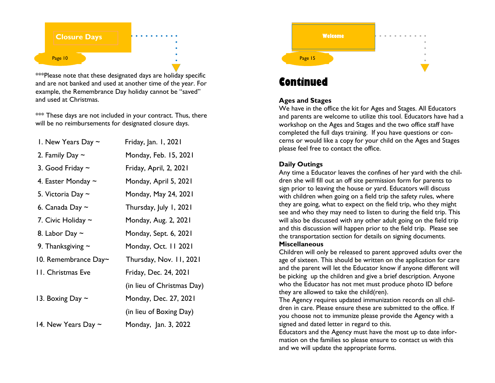

\*\*\*Please note that these designated days are holiday specific and are not banked and used at another time of the year. For example, the Remembrance Day holiday cannot be "saved" and used at Christmas.

\*\*\* These days are not included in your contract. Thus, there will be no reimbursements for designated closure days.

| 1. New Years Day $\sim$    | Friday, Jan. 1, 2021       |
|----------------------------|----------------------------|
| 2. Family Day $\sim$       | Monday, Feb. 15, 2021      |
| 3. Good Friday $\sim$      | Friday, April, 2, 2021     |
| 4. Easter Monday $\sim$    | Monday, April 5, 2021      |
| 5. Victoria Day $\sim$     | Monday, May 24, 2021       |
| 6. Canada Day $\sim$       | Thursday, July 1, 2021     |
| 7. Civic Holiday $\sim$    | Monday, Aug. 2, 2021       |
| 8. Labor Day $\sim$        | Monday, Sept. 6, 2021      |
| 9. Thanksgiving $\sim$     | Monday, Oct. 11 2021       |
| 10. Remembrance $Day \sim$ | Thursday, Nov. 11, 2021    |
| <b>11. Christmas Eve</b>   | Friday, Dec. 24, 2021      |
|                            | (in lieu of Christmas Day) |
| 13. Boxing Day $\sim$      | Monday, Dec. 27, 2021      |
|                            | (in lieu of Boxing Day)    |
| 14. New Years Day $\sim$   | Monday, Jan. 3, 2022       |



# **Continued**

## **Ages and Stages**

 We have in the office the kit for Ages and Stages. All Educators and parents are welcome to utilize this tool. Educators have had a workshop on the Ages and Stages and the two office staff have completed the full days training. If you have questions or concerns or would like a copy for your child on the Ages and Stages please feel free to contact the office.

## **Daily Outings**

 Any time a Educator leaves the confines of her yard with the children she will fill out an off site permission form for parents to sign prior to leaving the house or yard. Educators will discuss with children when going on a field trip the safety rules, where they are going, what to expect on the field trip, who they might see and who they may need to listen to during the field trip. This will also be discussed with any other adult going on the field trip and this discussion will happen prior to the field trip. Please see the transportation section for details on signing documents.

## **Miscellaneous**

 Children will only be released to parent approved adults over the age of sixteen. This should be written on the application for care and the parent will let the Educator know if anyone different will be picking up the children and give a brief description. Anyone who the Educator has not met must produce photo ID before they are allowed to take the child(ren).

The Agency requires updated immunization records on all children in care. Please ensure these are submitted to the office. If you choose not to immunize please provide the Agency with a signed and dated letter in regard to this.

Educators and the Agency must have the most up to date information on the families so please ensure to contact us with this and we will update the appropriate forms.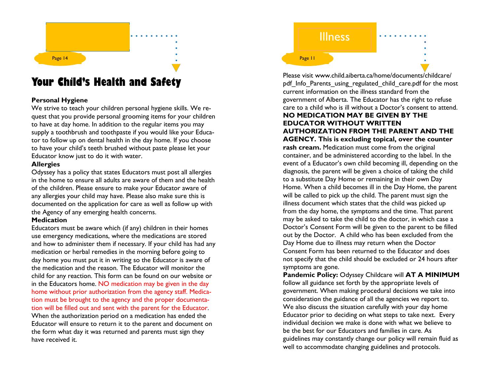# Page 14

## **Your Child's Health and Safety**

## **Personal Hygiene**

 We strive to teach your children personal hygiene skills. We request that you provide personal grooming items for your children to have at day home. In addition to the regular items you may supply a toothbrush and toothpaste if you would like your Educator to follow up on dental health in the day home. If you choose to have your child's teeth brushed without paste please let your Educator know just to do it with water.

## **Allergies**

 Odyssey has a policy that states Educators must post all allergies in the home to ensure all adults are aware of them and the health of the children. Please ensure to make your Educator aware of any allergies your child may have. Please also make sure this is documented on the application for care as well as follow up with the Agency of any emerging health concerns.

## **Medication**

 Educators must be aware which (if any) children in their homes use emergency medications, where the medications are stored and how to administer them if necessary. If your child has had any medication or herbal remedies in the morning before going to day home you must put it in writing so the Educator is aware of the medication and the reason. The Educator will monitor the child for any reaction. This form can be found on our website or in the Educators home. NO medication may be given in the day home without prior authorization from the agency staff. Medication must be brought to the agency and the proper documentation will be filled out and sent with the parent for the Educator. When the authorization period on a medication has ended the Educator will ensure to return it to the parent and document on the form what day it was returned and parents must sign they have received it.



Please visit www.child.aiberta.ca/home/documents/childcare/ pdf\_Info\_Parents\_using\_regulated\_child\_care.pdf for the most current information on the illness standard from the government of Alberta. The Educator has the right to refuse care to a child who is ill without a Doctor's consent to attend. **NO MEDICATION MAY BE GIVEN BY THE EDUCATOR WITHOUT WRITTEN AUTHORIZATION FROM THE PARENT AND THE AGENCY. This is excluding topical, over the counterrash cream.** Medication must come from the original container, and be administered according to the label. In the event of a Educator's own child becoming ill, depending on the diagnosis, the parent will be given a choice of taking the child to a substitute Day Home or remaining in their own Day Home. When a child becomes ill in the Day Home, the parent will be called to pick up the child. The parent must sign the illness document which states that the child was picked up from the day home, the symptoms and the time. That parent may be asked to take the child to the doctor, in which case a Doctor's Consent Form will be given to the parent to be filled out by the Doctor. A child who has been excluded from the Day Home due to illness may return when the Doctor Consent Form has been returned to the Educator and does not specify that the child should be excluded or 24 hours after symptoms are gone.

 **Pandemic Policy:** Odyssey Childcare will **AT A MINIMUM** follow all guidance set forth by the appropriate levels of government. When making procedural decisions we take into consideration the guidance of all the agencies we report to. We also discuss the situation carefully with your day home Educator prior to deciding on what steps to take next. Every individual decision we make is done with what we believe to be the best for our Educators and families in care. As guidelines may constantly change our policy will remain fluid as well to accommodate changing guidelines and protocols.